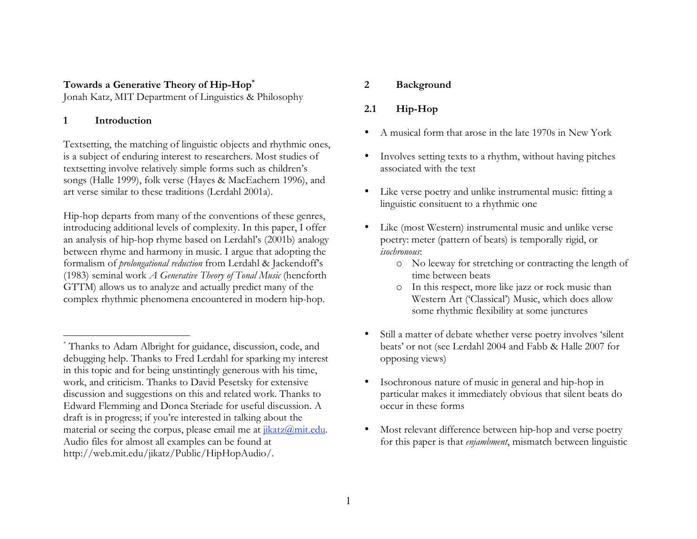## **Towards a Generative Theory of Hip-Hop\***

Jonah Katz, MIT Department of Linguistics & Philosophy

#### **1 Introduction**

 $\overline{a}$ 

Textsetting, the matching of linguistic objects and rhythmic ones, is a subject of enduring interest to researchers. Most studies of textsetting involve relatively simple forms such as children's songs (Halle 1999), folk verse (Hayes & MacEachern 1996), and art verse similar to these traditions (Lerdahl 2001a).

Hip-hop departs from many of the conventions of these genres, introducing additional levels of complexity. In this paper, I offer an analysis of hip-hop rhyme based on Lerdahl's (2001b) analogy between rhyme and harmony in music. I argue that adopting the formalism of *prolongational reduction* from Lerdahl & Jackendoff's (1983) seminal work *A Generative Theory of Tonal Music* (hencforth GTTM) allows us to analyze and actually predict many of the complex rhythmic phenomena encountered in modern hip-hop.

#### **2 Background**

# **2.1 Hip-Hop**

- A musical form that arose in the late 1970s in New York
- Involves setting texts to a rhythm, without having pitches associated with the text
- Like verse poetry and unlike instrumental music: fitting a linguistic consituent to a rhythmic one
- Like (most Western) instrumental music and unlike verse poetry: meter (pattern of beats) is temporally rigid, or *isochronous*:
	- o No leeway for stretching or contracting the length of time between beats
	- o In this respect, more like jazz or rock music than Western Art ('Classical') Music, which does allow some rhythmic flexibility at some junctures
- Still a matter of debate whether verse poetry involves 'silent beats' or not (see Lerdahl 2004 and Fabb & Halle 2007 for opposing views)
- Isochronous nature of music in general and hip-hop in particular makes it immediately obvious that silent beats do occur in these forms
- Most relevant difference between hip-hop and verse poetry for this paper is that *enjambment*, mismatch between linguistic

<sup>\*</sup> Thanks to Adam Albright for guidance, discussion, code, and debugging help. Thanks to Fred Lerdahl for sparking my interest in this topic and for being unstintingly generous with his time, work, and criticism. Thanks to David Pesetsky for extensive discussion and suggestions on this and related work. Thanks to Edward Flemming and Donca Steriade for useful discussion. A draft is in progress; if you're interested in talking about the material or seeing the corpus, please email me at  $\frac{jkatz(\hat{a})mit.edu}{ikatz}$ . Audio files for almost all examples can be found at http://web.mit.edu/jikatz/Public/HipHopAudio/.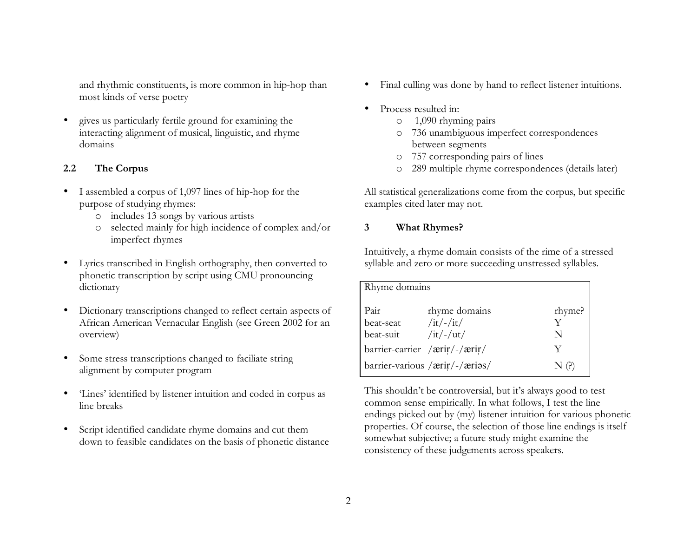and rhythmic constituents, is more common in hip-hop than most kinds of verse poetry

• gives us particularly fertile ground for examining the interacting alignment of musical, linguistic, and rhyme domains

# **2.2 The Corpus**

- I assembled a corpus of 1,097 lines of hip-hop for the purpose of studying rhymes:
	- o includes 13 songs by various artists
	- o selected mainly for high incidence of complex and/or imperfect rhymes
- Lyrics transcribed in English orthography, then converted to phonetic transcription by script using CMU pronouncing dictionary
- Dictionary transcriptions changed to reflect certain aspects of African American Vernacular English (see Green 2002 for an overview)
- Some stress transcriptions changed to faciliate string alignment by computer program
- 'Lines' identified by listener intuition and coded in corpus as line breaks
- Script identified candidate rhyme domains and cut them down to feasible candidates on the basis of phonetic distance
- Final culling was done by hand to reflect listener intuitions.
- Process resulted in:
	- o 1,090 rhyming pairs
	- o 736 unambiguous imperfect correspondences between segments
	- o 757 corresponding pairs of lines
	- o 289 multiple rhyme correspondences (details later)

All statistical generalizations come from the corpus, but specific examples cited later may not.

# **3 What Rhymes?**

Intuitively, a rhyme domain consists of the rime of a stressed syllable and zero or more succeeding unstressed syllables.

| Rhyme domains |                                |        |
|---------------|--------------------------------|--------|
| Pair          | rhyme domains                  | rhyme? |
| beat-seat     | $/it/$ -/it/                   | v      |
| beat-suit     | $/it$ /- $/ut/$                | N      |
|               | barrier-carrier /ærir/-/ærir/  | Y      |
|               | barrier-various /ærir/-/ærios/ | N(?)   |

This shouldn't be controversial, but it's always good to test common sense empirically. In what follows, I test the line endings picked out by (my) listener intuition for various phonetic properties. Of course, the selection of those line endings is itself somewhat subjective; a future study might examine the consistency of these judgements across speakers.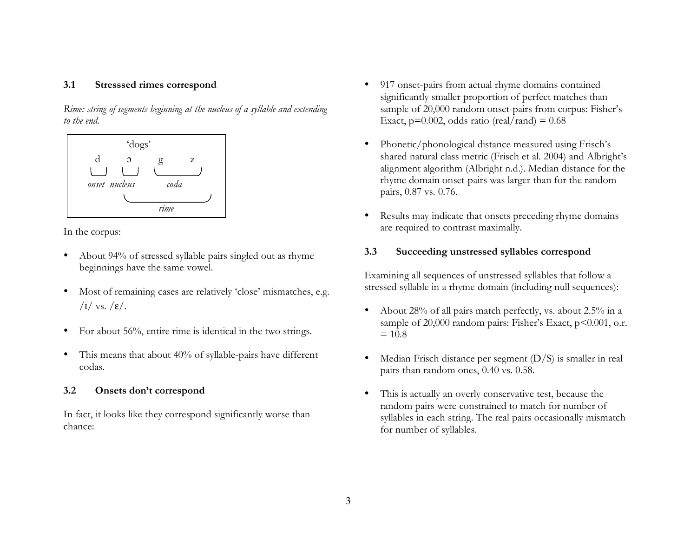#### **3.1 Stresssed rimes correspond**

*Rime: string of segments beginning at the nucleus of a syllable and extending to the end*.



In the corpus:

- About 94% of stressed syllable pairs singled out as rhyme beginnings have the same vowel.
- Most of remaining cases are relatively 'close' mismatches, e.g. / $I/\text{vs.}/\epsilon/$ .
- For about 56%, entire rime is identical in the two strings.
- This means that about 40% of syllable-pairs have different codas.

## **3.2 Onsets don't correspond**

In fact, it looks like they correspond significantly worse than chance:

- 917 onset-pairs from actual rhyme domains contained significantly smaller proportion of perfect matches than sample of 20,000 random onset-pairs from corpus: Fisher's Exact,  $p=0.002$ , odds ratio (real/rand) = 0.68
- Phonetic/phonological distance measured using Frisch's shared natural class metric (Frisch et al. 2004) and Albright's alignment algorithm (Albright n.d.). Median distance for the rhyme domain onset-pairs was larger than for the random pairs, 0.87 vs. 0.76.
- Results may indicate that onsets preceding rhyme domains are required to contrast maximally.

#### **3.3 Succeeding unstressed syllables correspond**

Examining all sequences of unstressed syllables that follow a stressed syllable in a rhyme domain (including null sequences):

- About 28% of all pairs match perfectly, vs. about 2.5% in a sample of 20,000 random pairs: Fisher's Exact, p<0.001, o.r.  $= 10.8$
- Median Frisch distance per segment  $(D/S)$  is smaller in real pairs than random ones, 0.40 vs. 0.58.
- This is actually an overly conservative test, because the random pairs were constrained to match for number of syllables in each string. The real pairs occasionally mismatch for number of syllables.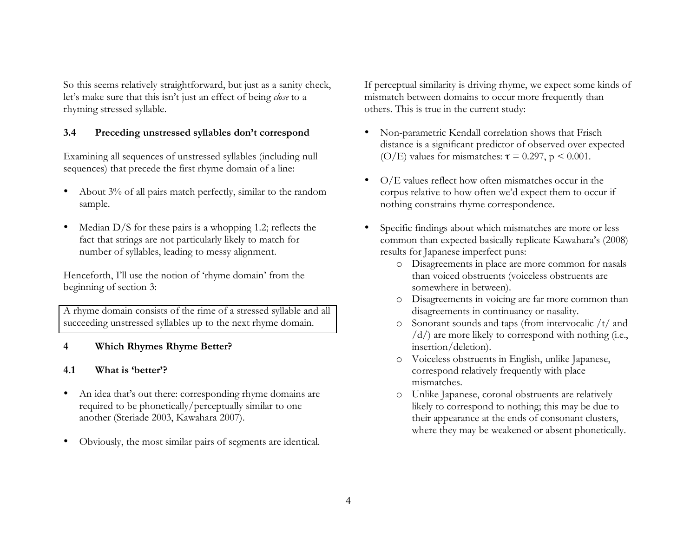So this seems relatively straightforward, but just as a sanity check, let's make sure that this isn't just an effect of being *close* to a rhyming stressed syllable.

## **3.4 Preceding unstressed syllables don't correspond**

Examining all sequences of unstressed syllables (including null sequences) that precede the first rhyme domain of a line:

- About 3% of all pairs match perfectly, similar to the random sample.
- Median D/S for these pairs is a whopping 1.2; reflects the fact that strings are not particularly likely to match for number of syllables, leading to messy alignment.

Henceforth, I'll use the notion of 'rhyme domain' from the beginning of section 3:

A rhyme domain consists of the rime of a stressed syllable and all succeeding unstressed syllables up to the next rhyme domain.

# **4 Which Rhymes Rhyme Better?**

# **4.1 What is 'better'?**

- An idea that's out there: corresponding rhyme domains are required to be phonetically/perceptually similar to one another (Steriade 2003, Kawahara 2007).
- Obviously, the most similar pairs of segments are identical.

If perceptual similarity is driving rhyme, we expect some kinds of mismatch between domains to occur more frequently than others. This is true in the current study:

- Non-parametric Kendall correlation shows that Frisch distance is a significant predictor of observed over expected (O/E) values for mismatches:  $\tau = 0.297$ ,  $p \le 0.001$ .
- O/E values reflect how often mismatches occur in the corpus relative to how often we'd expect them to occur if nothing constrains rhyme correspondence.
- Specific findings about which mismatches are more or less common than expected basically replicate Kawahara's (2008) results for Japanese imperfect puns:
	- o Disagreements in place are more common for nasals than voiced obstruents (voiceless obstruents are somewhere in between).
	- o Disagreements in voicing are far more common than disagreements in continuancy or nasality.
	- o Sonorant sounds and taps (from intervocalic /t/ and /d/) are more likely to correspond with nothing (i.e., insertion/deletion).
	- o Voiceless obstruents in English, unlike Japanese, correspond relatively frequently with place mismatches.
	- o Unlike Japanese, coronal obstruents are relatively likely to correspond to nothing; this may be due to their appearance at the ends of consonant clusters, where they may be weakened or absent phonetically.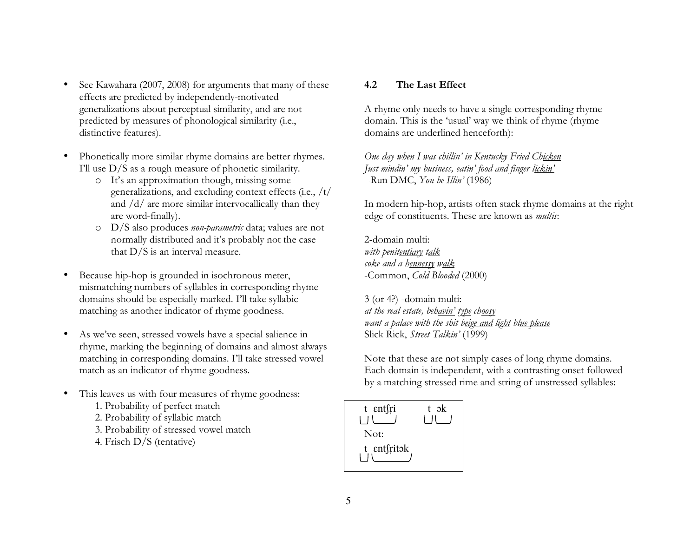- See Kawahara (2007, 2008) for arguments that many of these effects are predicted by independently-motivated generalizations about perceptual similarity, and are not predicted by measures of phonological similarity (i.e., distinctive features).
- Phonetically more similar rhyme domains are better rhymes. I'll use D/S as a rough measure of phonetic similarity.
	- o It's an approximation though, missing some generalizations, and excluding context effects (i.e., /t/ and /d/ are more similar intervocallically than they are word-finally).
	- o D/S also produces *non-parametric* data; values are not normally distributed and it's probably not the case that D/S is an interval measure.
- Because hip-hop is grounded in isochronous meter, mismatching numbers of syllables in corresponding rhyme domains should be especially marked. I'll take syllabic matching as another indicator of rhyme goodness.
- As we've seen, stressed vowels have a special salience in rhyme, marking the beginning of domains and almost always matching in corresponding domains. I'll take stressed vowel match as an indicator of rhyme goodness.
- This leaves us with four measures of rhyme goodness:
	- 1. Probability of perfect match
	- 2. Probability of syllabic match
	- 3. Probability of stressed vowel match
	- 4. Frisch D/S (tentative)

#### **4.2 The Last Effect**

A rhyme only needs to have a single corresponding rhyme domain. This is the 'usual' way we think of rhyme (rhyme domains are underlined henceforth):

*One day when I was chillin' in Kentucky Fried Chicken Just mindin' my business, eatin' food and finger lickin'* -Run DMC, *You be Illin'* (1986)

In modern hip-hop, artists often stack rhyme domains at the right edge of constituents. These are known as *multis*:

2-domain multi: *with penitentiary talk coke and a hennessy walk* -Common, *Cold Blooded* (2000)

3 (or 4?) -domain multi: *at the real estate, behavin' type choosy want a palace with the shit beige and light blue please* Slick Rick, *Street Talkin'* (1999)

Note that these are not simply cases of long rhyme domains. Each domain is independent, with a contrasting onset followed by a matching stressed rime and string of unstressed syllables:

| t entsri    | t ok |
|-------------|------|
| Not:        |      |
| t entfritok |      |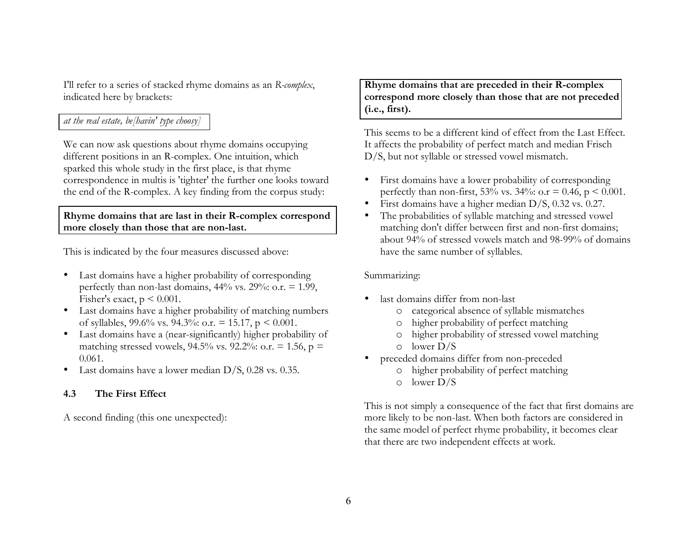I'll refer to a series of stacked rhyme domains as an *R-complex*, indicated here by brackets:

# *at the real estate, be[havin' type choosy]*

We can now ask questions about rhyme domains occupying different positions in an R-complex. One intuition, which sparked this whole study in the first place, is that rhyme correspondence in multis is 'tighter' the further one looks toward the end of the R-complex. A key finding from the corpus study:

#### **Rhyme domains that are last in their R-complex correspond more closely than those that are non-last.**

This is indicated by the four measures discussed above:

- Last domains have a higher probability of corresponding perfectly than non-last domains,  $44%$  vs.  $29%$ : o.r. = 1.99, Fisher's exact,  $p \leq 0.001$ .
- Last domains have a higher probability of matching numbers of syllables, 99.6% vs. 94.3%: o.r. = 15.17,  $p \le 0.001$ .
- Last domains have a (near-significantly) higher probability of matching stressed vowels, 94.5% vs. 92.2%: o.r. = 1.56,  $p =$ 0.061.
- Last domains have a lower median D/S, 0.28 vs. 0.35.

### **4.3 The First Effect**

A second finding (this one unexpected):

**Rhyme domains that are preceded in their R-complex correspond more closely than those that are not preceded (i.e., first).** 

This seems to be a different kind of effect from the Last Effect. It affects the probability of perfect match and median Frisch D/S, but not syllable or stressed vowel mismatch.

- First domains have a lower probability of corresponding perfectly than non-first, 53% vs. 34%: o.r = 0.46,  $p < 0.001$ .
- First domains have a higher median D/S, 0.32 vs. 0.27.
- The probabilities of syllable matching and stressed vowel matching don't differ between first and non-first domains; about 94% of stressed vowels match and 98-99% of domains have the same number of syllables.

#### Summarizing:

- last domains differ from non-last
	- o categorical absence of syllable mismatches
	- o higher probability of perfect matching
	- o higher probability of stressed vowel matching
	- o lower D/S
- preceded domains differ from non-preceded
	- o higher probability of perfect matching
	- o lower D/S

This is not simply a consequence of the fact that first domains are more likely to be non-last. When both factors are considered in the same model of perfect rhyme probability, it becomes clear that there are two independent effects at work.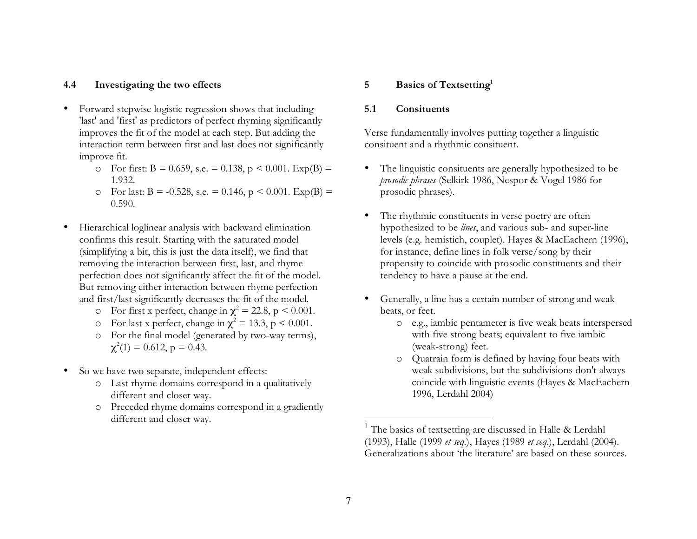#### **4.4 Investigating the two effects**

- Forward stepwise logistic regression shows that including 'last' and 'first' as predictors of perfect rhyming significantly improves the fit of the model at each step. But adding the interaction term between first and last does not significantly improve fit.
	- o For first:  $B = 0.659$ , s.e.  $= 0.138$ ,  $p \le 0.001$ . Exp(B)  $=$ 1.932.
	- o For last: B = -0.528, s.e. = 0.146,  $p < 0.001$ . Exp(B) = 0.590.
- Hierarchical loglinear analysis with backward elimination confirms this result. Starting with the saturated model (simplifying a bit, this is just the data itself), we find that removing the interaction between first, last, and rhyme perfection does not significantly affect the fit of the model. But removing either interaction between rhyme perfection and first/last significantly decreases the fit of the model.
	- o For first x perfect, change in  $\chi^2 = 22.8$ , p < 0.001.
	- o For last x perfect, change in  $\chi^2 = 13.3$ , p < 0.001.
	- o For the final model (generated by two-way terms),  $\chi^2(1) = 0.612$ , p = 0.43.
- So we have two separate, independent effects:
	- o Last rhyme domains correspond in a qualitatively different and closer way.
	- o Preceded rhyme domains correspond in a gradiently different and closer way.

#### **5 Basics of Textsetting1**

#### **5.1 Consituents**

Verse fundamentally involves putting together a linguistic consituent and a rhythmic consituent.

- The linguistic consituents are generally hypothesized to be *prosodic phrases* (Selkirk 1986, Nespor & Vogel 1986 for prosodic phrases).
- The rhythmic constituents in verse poetry are often hypothesized to be *lines*, and various sub- and super-line levels (e.g. hemistich, couplet). Hayes & MacEachern (1996), for instance, define lines in folk verse/song by their propensity to coincide with prosodic constituents and their tendency to have a pause at the end.
- Generally, a line has a certain number of strong and weak beats, or feet.
	- o e.g., iambic pentameter is five weak beats interspersed with five strong beats; equivalent to five iambic (weak-strong) feet.
	- o Quatrain form is defined by having four beats with weak subdivisions, but the subdivisions don't always coincide with linguistic events (Hayes & MacEachern 1996, Lerdahl 2004)

<sup>&</sup>lt;sup>1</sup> The basics of textsetting are discussed in Halle & Lerdahl (1993), Halle (1999 *et seq*.), Hayes (1989 *et seq*.), Lerdahl (2004). Generalizations about 'the literature' are based on these sources.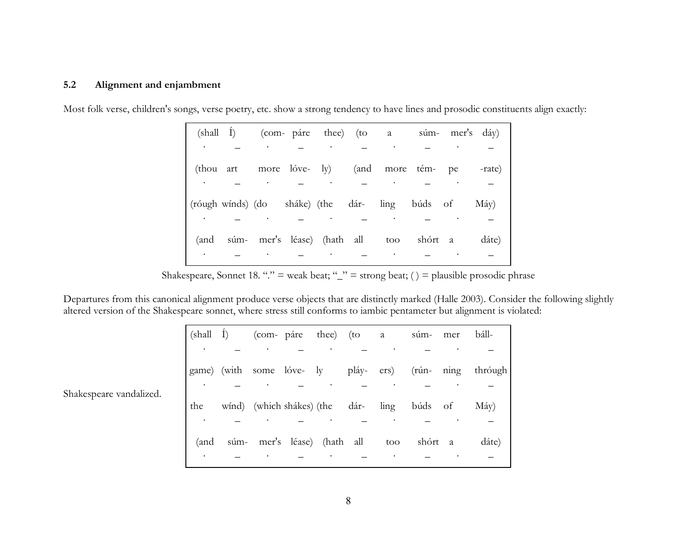#### **5.2 Alignment and enjambment**

|           | (shall I) (com- páre thee) (to a súm- mer's dáy) |  |                                    |  |  |       |
|-----------|--------------------------------------------------|--|------------------------------------|--|--|-------|
| $\bullet$ |                                                  |  | and the same state of the state of |  |  |       |
|           | (thou art more lóve-ly) (and more tém-pe -rate)  |  |                                    |  |  |       |
|           |                                                  |  |                                    |  |  |       |
|           | (róugh wínds) (do sháke) (the dár- ling búds of  |  |                                    |  |  | Máy)  |
|           |                                                  |  |                                    |  |  |       |
|           | (and súm- mer's léase) (hath all too shórt a     |  |                                    |  |  | dáte) |
|           |                                                  |  |                                    |  |  |       |

Most folk verse, children's songs, verse poetry, etc. show a strong tendency to have lines and prosodic constituents align exactly:

Shakespeare, Sonnet 18. "." = weak beat; " $\equiv$  strong beat; () = plausible prosodic phrase

Departures from this canonical alignment produce verse objects that are distinctly marked (Halle 2003). Consider the following slightly altered version of the Shakespeare sonnet, where stress still conforms to iambic pentameter but alignment is violated:

| (shall I) | (com- páre thee) (to a súm- mer báll-                |  |     |         |                                                         |
|-----------|------------------------------------------------------|--|-----|---------|---------------------------------------------------------|
|           | $\bullet$                                            |  |     |         |                                                         |
|           |                                                      |  |     |         | game) (with some lóve- ly pláy- ers) (rún- ning thróugh |
|           |                                                      |  |     |         |                                                         |
|           | the wind) (which shakes) (the dar- ling buds of May) |  |     |         |                                                         |
|           |                                                      |  |     |         |                                                         |
|           | (and súm- mer's léase) (hath all                     |  | too | shórt a | dáte)                                                   |
|           |                                                      |  |     |         |                                                         |

Shakespeare vandalized.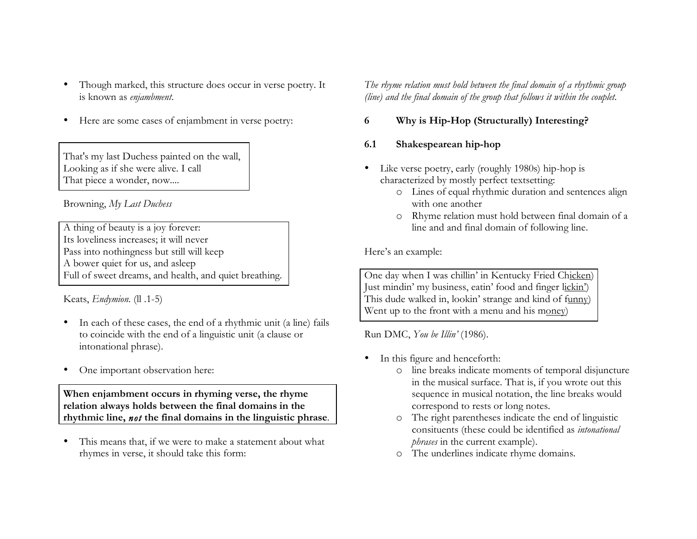- Though marked, this structure does occur in verse poetry. It is known as *enjambment*.
- Here are some cases of enjambment in verse poetry:

That's my last Duchess painted on the wall, Looking as if she were alive. I call That piece a wonder, now....

Browning, *My Last Duchess*

A thing of beauty is a joy forever: Its loveliness increases; it will never Pass into nothingness but still will keep A bower quiet for us, and asleep Full of sweet dreams, and health, and quiet breathing.

Keats, *Endymion*. (ll .1-5)

- In each of these cases, the end of a rhythmic unit (a line) fails to coincide with the end of a linguistic unit (a clause or intonational phrase).
- One important observation here:

**When enjambment occurs in rhyming verse, the rhyme relation always holds between the final domains in the rhythmic line,** *not* **the final domains in the linguistic phrase**.

This means that, if we were to make a statement about what rhymes in verse, it should take this form:

*The rhyme relation must hold between the final domain of a rhythmic group (line) and the final domain of the group that follows it within the couplet.*

# **6 Why is Hip-Hop (Structurally) Interesting?**

### **6.1 Shakespearean hip-hop**

- Like verse poetry, early (roughly 1980s) hip-hop is characterized by mostly perfect textsetting:
	- o Lines of equal rhythmic duration and sentences align with one another
	- o Rhyme relation must hold between final domain of a line and and final domain of following line.

Here's an example:

One day when I was chillin' in Kentucky Fried Chicken) Just mindin' my business, eatin' food and finger lickin') This dude walked in, lookin' strange and kind of funny) Went up to the front with a menu and his money)

Run DMC, *You be Illin'* (1986).

- In this figure and henceforth:
	- o line breaks indicate moments of temporal disjuncture in the musical surface. That is, if you wrote out this sequence in musical notation, the line breaks would correspond to rests or long notes.
	- o The right parentheses indicate the end of linguistic consituents (these could be identified as *intonational phrases* in the current example).
	- o The underlines indicate rhyme domains.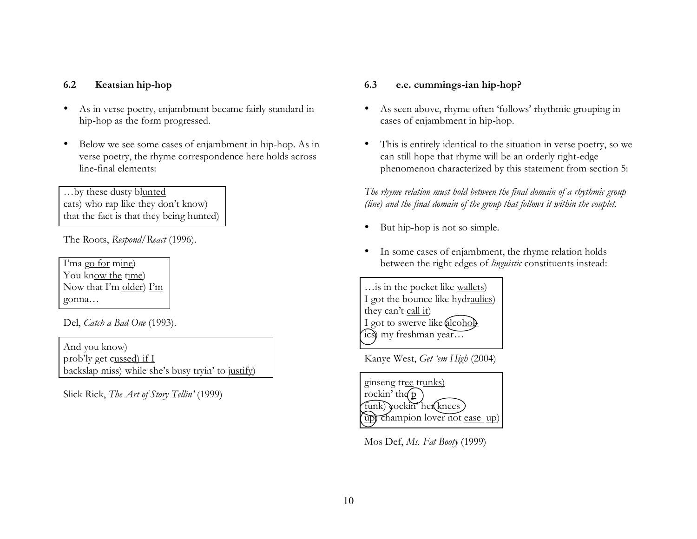## **6.2 Keatsian hip-hop**

- As in verse poetry, enjambment became fairly standard in hip-hop as the form progressed.
- Below we see some cases of enjambment in hip-hop. As in verse poetry, the rhyme correspondence here holds across line-final elements:

…by these dusty blunted cats) who rap like they don't know) that the fact is that they being hunted)

The Roots, *Respond/React* (1996).

I'ma go for mine) You know the time) Now that I'm older) I'm gonna…

Del, *Catch a Bad One* (1993).

And you know) prob'ly get cussed) if I backslap miss) while she's busy tryin' to justify)

Slick Rick, *The Art of Story Tellin'* (1999)

#### **6.3 e.e. cummings-ian hip-hop?**

- As seen above, rhyme often 'follows' rhythmic grouping in cases of enjambment in hip-hop.
- This is entirely identical to the situation in verse poetry, so we can still hope that rhyme will be an orderly right-edge phenomenon characterized by this statement from section 5:

*The rhyme relation must hold between the final domain of a rhythmic group (line) and the final domain of the group that follows it within the couplet.*

- But hip-hop is not so simple.
- In some cases of enjambment, the rhyme relation holds between the right edges of *linguistic* constituents instead:

…is in the pocket like wallets) I got the bounce like hydraulics) they can't call it) I got to swerve like alcoholics) my freshman year…

Kanye West, *Get 'em High* (2004)



Mos Def, *Ms. Fat Booty* (1999)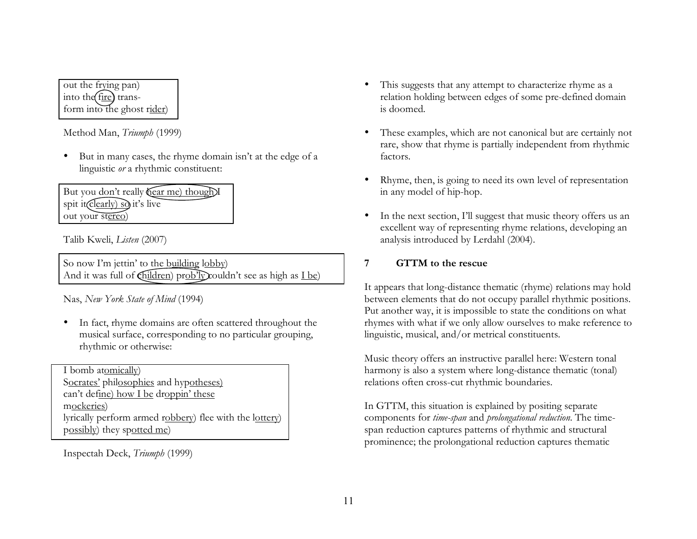out the frying pan) into the fire) transform into the ghost rider)

Method Man, *Triumph* (1999)

• But in many cases, the rhyme domain isn't at the edge of a linguistic *or* a rhythmic constituent:

But you don't really **hear** me) though I spit it  $\widehat{c}$  clearly) so it's live out your stereo)

Talib Kweli, *Listen* (2007)

So now I'm jettin' to the building lobby) And it was full of  $\langle \text{children} \rangle$  prob'ly couldn't see as high as  $\langle \text{I} \rangle$ 

Nas, *New York State of Mind* (1994)

• In fact, rhyme domains are often scattered throughout the musical surface, corresponding to no particular grouping, rhythmic or otherwise:

I bomb atomically) Socrates' philosophies and hypotheses) can't define) how I be droppin' these mockeries) lyrically perform armed robbery) flee with the lottery) possibly) they spotted me)

Inspectah Deck, *Triumph* (1999)

- This suggests that any attempt to characterize rhyme as a relation holding between edges of some pre-defined domain is doomed.
- These examples, which are not canonical but are certainly not rare, show that rhyme is partially independent from rhythmic factors.
- Rhyme, then, is going to need its own level of representation in any model of hip-hop.
- In the next section, I'll suggest that music theory offers us an excellent way of representing rhyme relations, developing an analysis introduced by Lerdahl (2004).

# **7 GTTM to the rescue**

It appears that long-distance thematic (rhyme) relations may hold between elements that do not occupy parallel rhythmic positions. Put another way, it is impossible to state the conditions on what rhymes with what if we only allow ourselves to make reference to linguistic, musical, and/or metrical constituents.

Music theory offers an instructive parallel here: Western tonal harmony is also a system where long-distance thematic (tonal) relations often cross-cut rhythmic boundaries.

In GTTM, this situation is explained by positing separate components for *time-span* and *prolongational reduction*. The timespan reduction captures patterns of rhythmic and structural prominence; the prolongational reduction captures thematic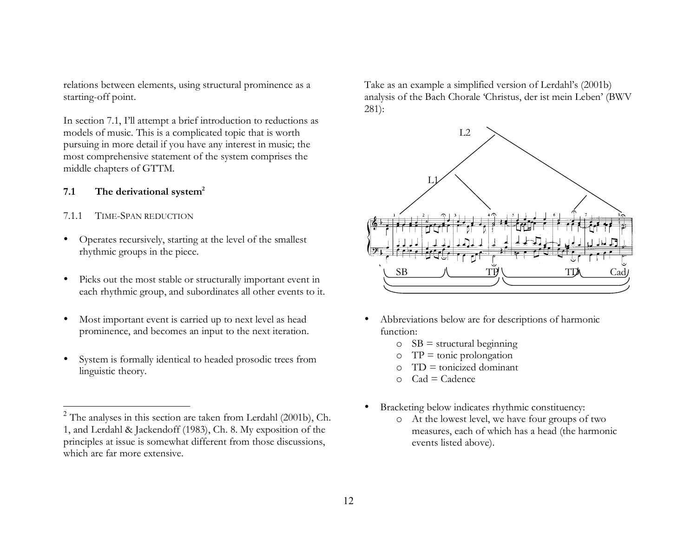relations between elements, using structural prominence as a starting-off point.

In section 7.1, I'll attempt a brief introduction to reductions as models of music. This is a complicated topic that is worth pursuing in more detail if you have any interest in music; the most comprehensive statement of the system comprises the middle chapters of GTTM.

### **7.1 The derivational system<sup>2</sup>**

#### 7.1.1 TIME-SPAN REDUCTION

- Operates recursively, starting at the level of the smallest rhythmic groups in the piece.
- Picks out the most stable or structurally important event in each rhythmic group, and subordinates all other events to it.
- Most important event is carried up to next level as head prominence, and becomes an input to the next iteration.
- System is formally identical to headed prosodic trees from linguistic theory.

Take as an example a simplified version of Lerdahl's (2001b) analysis of the Bach Chorale 'Christus, der ist mein Leben' (BWV 281):



- Abbreviations below are for descriptions of harmonic function:
	- $\circ$  SB = structural beginning
	- $OP = \text{tonic prolongation}$
	- $\circ$  TD = tonicized dominant
	- $C$ ad = Cadence
- Bracketing below indicates rhythmic constituency:
	- o At the lowest level, we have four groups of two measures, each of which has a head (the harmonic events listed above).

 $2$  The analyses in this section are taken from Lerdahl (2001b), Ch. 1, and Lerdahl & Jackendoff (1983), Ch. 8. My exposition of the principles at issue is somewhat different from those discussions, which are far more extensive.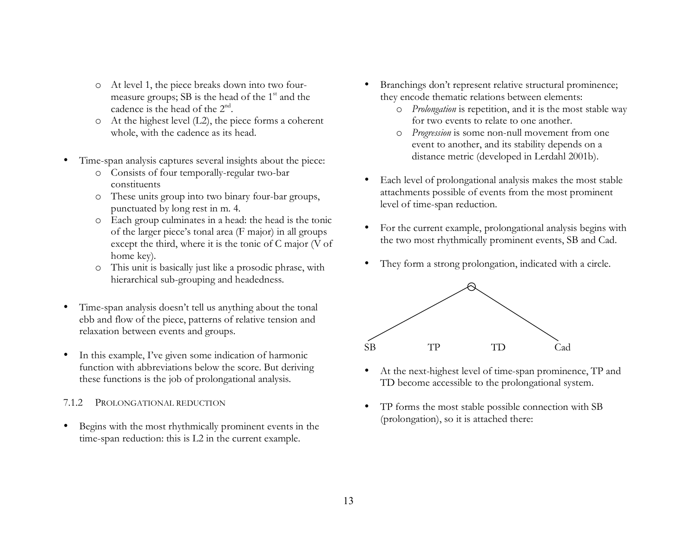- o At level 1, the piece breaks down into two fourmeasure groups;  $SB$  is the head of the  $1<sup>st</sup>$  and the cadence is the head of the  $2<sup>nd</sup>$ .
- o At the highest level (L2), the piece forms a coherent whole, with the cadence as its head.
- Time-span analysis captures several insights about the piece:
	- o Consists of four temporally-regular two-bar constituents
	- o These units group into two binary four-bar groups, punctuated by long rest in m. 4.
	- o Each group culminates in a head: the head is the tonic of the larger piece's tonal area (F major) in all groups except the third, where it is the tonic of C major (V of home key).
	- o This unit is basically just like a prosodic phrase, with hierarchical sub-grouping and headedness.
- Time-span analysis doesn't tell us anything about the tonal ebb and flow of the piece, patterns of relative tension and relaxation between events and groups.
- In this example, I've given some indication of harmonic function with abbreviations below the score. But deriving these functions is the job of prolongational analysis.

### 7.1.2 PROLONGATIONAL REDUCTION

Begins with the most rhythmically prominent events in the time-span reduction: this is L2 in the current example.

- Branchings don't represent relative structural prominence; they encode thematic relations between elements:
	- o *Prolongation* is repetition, and it is the most stable way for two events to relate to one another.
	- o *Progression* is some non-null movement from one event to another, and its stability depends on a distance metric (developed in Lerdahl 2001b).
- Each level of prolongational analysis makes the most stable attachments possible of events from the most prominent level of time-span reduction.
- For the current example, prolongational analysis begins with the two most rhythmically prominent events, SB and Cad.
- They form a strong prolongation, indicated with a circle.



- At the next-highest level of time-span prominence, TP and TD become accessible to the prolongational system.
- TP forms the most stable possible connection with SB (prolongation), so it is attached there: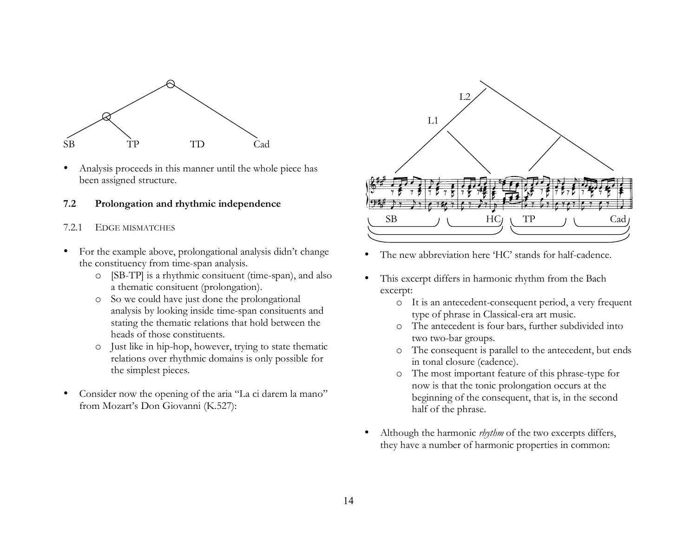

• Analysis proceeds in this manner until the whole piece has been assigned structure.

### **7.2 Prolongation and rhythmic independence**

- 7.2.1 EDGE MISMATCHES
- For the example above, prolongational analysis didn't change the constituency from time-span analysis.
	- o [SB-TP] is a rhythmic consituent (time-span), and also a thematic consituent (prolongation).
	- o So we could have just done the prolongational analysis by looking inside time-span consituents and stating the thematic relations that hold between the heads of those constituents.
	- o Just like in hip-hop, however, trying to state thematic relations over rhythmic domains is only possible for the simplest pieces.
- Consider now the opening of the aria "La ci darem la mano" from Mozart's Don Giovanni (K.527):



- The new abbreviation here 'HC' stands for half-cadence.
- This excerpt differs in harmonic rhythm from the Bach excerpt:
	- o It is an antecedent-consequent period, a very frequent type of phrase in Classical-era art music.
	- o The antecedent is four bars, further subdivided into two two-bar groups.
	- o The consequent is parallel to the antecedent, but ends in tonal closure (cadence).
	- o The most important feature of this phrase-type for now is that the tonic prolongation occurs at the beginning of the consequent, that is, in the second half of the phrase.
- Although the harmonic *rhythm* of the two excerpts differs, they have a number of harmonic properties in common: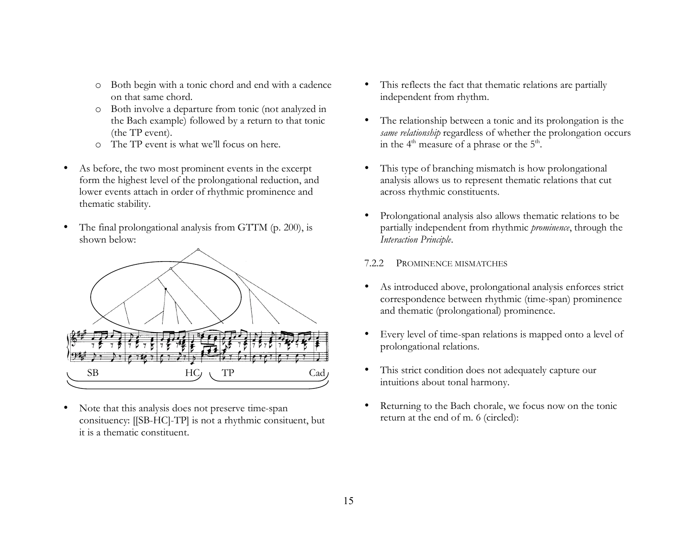- o Both begin with a tonic chord and end with a cadence on that same chord.
- o Both involve a departure from tonic (not analyzed in the Bach example) followed by a return to that tonic (the TP event).
- o The TP event is what we'll focus on here.
- As before, the two most prominent events in the excerpt form the highest level of the prolongational reduction, and lower events attach in order of rhythmic prominence and thematic stability.
- The final prolongational analysis from GTTM (p. 200), is shown below:



• Note that this analysis does not preserve time-span consituency: [[SB-HC]-TP] is not a rhythmic consituent, but it is a thematic constituent.

- This reflects the fact that thematic relations are partially independent from rhythm.
- The relationship between a tonic and its prolongation is the *same relationship* regardless of whether the prolongation occurs in the  $4<sup>th</sup>$  measure of a phrase or the  $5<sup>th</sup>$ .
- This type of branching mismatch is how prolongational analysis allows us to represent thematic relations that cut across rhythmic constituents.
- Prolongational analysis also allows thematic relations to be partially independent from rhythmic *prominence*, through the *Interaction Principle*.

#### 7.2.2 PROMINENCE MISMATCHES

- As introduced above, prolongational analysis enforces strict correspondence between rhythmic (time-span) prominence and thematic (prolongational) prominence.
- Every level of time-span relations is mapped onto a level of prolongational relations.
- This strict condition does not adequately capture our intuitions about tonal harmony.
- Returning to the Bach chorale, we focus now on the tonic return at the end of m. 6 (circled):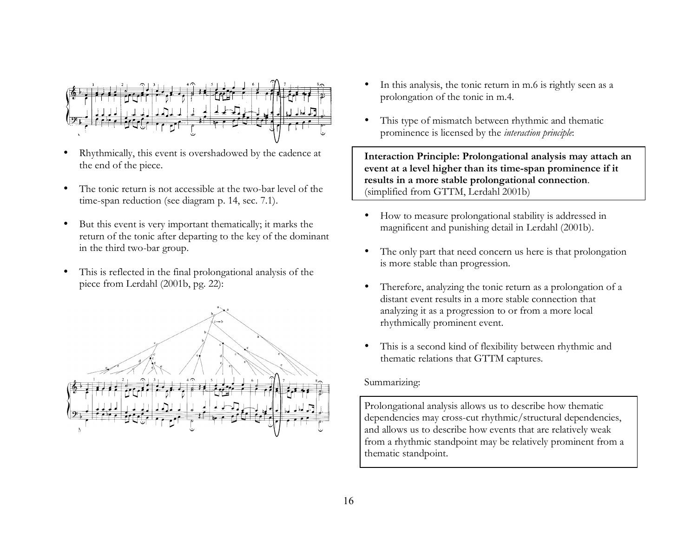

- Rhythmically, this event is overshadowed by the cadence at the end of the piece.
- The tonic return is not accessible at the two-bar level of the time-span reduction (see diagram p. 14, sec. 7.1).
- But this event is very important thematically; it marks the return of the tonic after departing to the key of the dominant in the third two-bar group.
- This is reflected in the final prolongational analysis of the piece from Lerdahl (2001b, pg. 22):



- In this analysis, the tonic return in m.6 is rightly seen as a prolongation of the tonic in m.4.
- This type of mismatch between rhythmic and thematic prominence is licensed by the *interaction principle*:

**Interaction Principle: Prolongational analysis may attach an event at a level higher than its time-span prominence if it results in a more stable prolongational connection**. (simplified from GTTM, Lerdahl 2001b)

- How to measure prolongational stability is addressed in magnificent and punishing detail in Lerdahl (2001b).
- The only part that need concern us here is that prolongation is more stable than progression.
- Therefore, analyzing the tonic return as a prolongation of a distant event results in a more stable connection that analyzing it as a progression to or from a more local rhythmically prominent event.
- This is a second kind of flexibility between rhythmic and thematic relations that GTTM captures.

#### Summarizing:

Prolongational analysis allows us to describe how thematic dependencies may cross-cut rhythmic/structural dependencies, and allows us to describe how events that are relatively weak from a rhythmic standpoint may be relatively prominent from a thematic standpoint.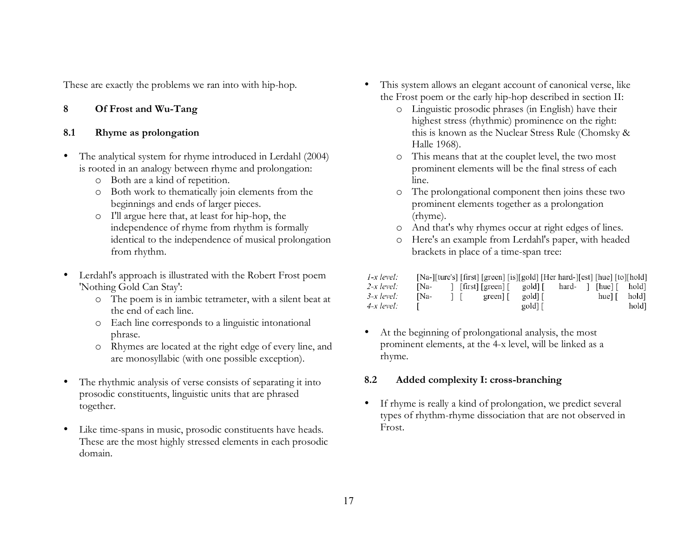These are exactly the problems we ran into with hip-hop.

# **8 Of Frost and Wu-Tang**

# **8.1 Rhyme as prolongation**

- The analytical system for rhyme introduced in Lerdahl (2004) is rooted in an analogy between rhyme and prolongation:
	- o Both are a kind of repetition.
	- o Both work to thematically join elements from the beginnings and ends of larger pieces.
	- o I'll argue here that, at least for hip-hop, the independence of rhyme from rhythm is formally identical to the independence of musical prolongation from rhythm.
- Lerdahl's approach is illustrated with the Robert Frost poem 'Nothing Gold Can Stay':
	- o The poem is in iambic tetrameter, with a silent beat at the end of each line.
	- o Each line corresponds to a linguistic intonational phrase.
	- o Rhymes are located at the right edge of every line, and are monosyllabic (with one possible exception).
- The rhythmic analysis of verse consists of separating it into prosodic constituents, linguistic units that are phrased together.
- Like time-spans in music, prosodic constituents have heads. These are the most highly stressed elements in each prosodic domain.
- This system allows an elegant account of canonical verse, like the Frost poem or the early hip-hop described in section II:
	- o Linguistic prosodic phrases (in English) have their highest stress (rhythmic) prominence on the right: this is known as the Nuclear Stress Rule (Chomsky & Halle 1968).
	- o This means that at the couplet level, the two most prominent elements will be the final stress of each line.
	- o The prolongational component then joins these two prominent elements together as a prolongation (rhyme).
	- o And that's why rhymes occur at right edges of lines.
	- o Here's an example from Lerdahl's paper, with headed brackets in place of a time-span tree:

| $1-x$ level: | [Na-][ture's] [first] [green] [is][gold] [Her hard-][est] [hue] [to][hold] |        |                           |         |  |                   |                      |
|--------------|----------------------------------------------------------------------------|--------|---------------------------|---------|--|-------------------|----------------------|
| $2-x$ level: | INa-                                                                       |        | [first] [green] [ gold] [ |         |  |                   | hard- [[hue] [ hold] |
| $3-x$ level: | INa-                                                                       | $\Box$ | green                     | gold    |  | hue $\vert \vert$ | hold]                |
| $4-x$ level: |                                                                            |        |                           | gold] [ |  |                   | hold]                |

• At the beginning of prolongational analysis, the most prominent elements, at the 4-x level, will be linked as a rhyme.

# **8.2 Added complexity I: cross-branching**

• If rhyme is really a kind of prolongation, we predict several types of rhythm-rhyme dissociation that are not observed in Frost.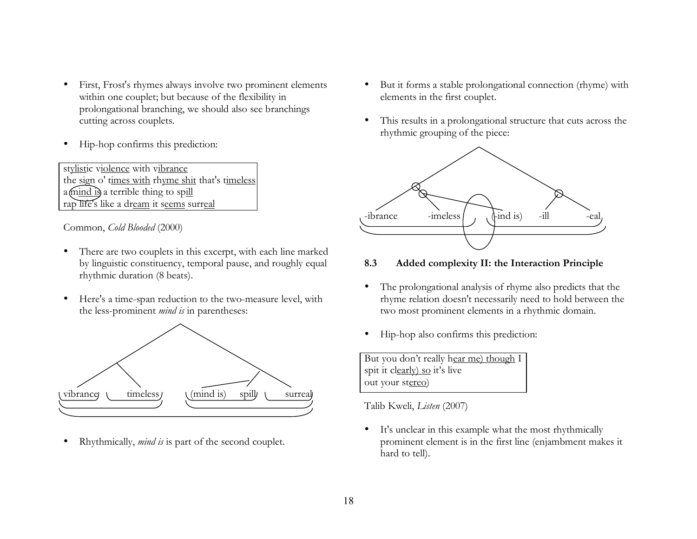- First, Frost's rhymes always involve two prominent elements within one couplet; but because of the flexibility in prolongational branching, we should also see branchings cutting across couplets.
- Hip-hop confirms this prediction:

stylistic violence with vibrance the sign o' times with rhyme shit that's timeless a mind is a terrible thing to spill rap life's like a dream it seems surreal

Common, *Cold Blooded* (2000)

- There are two couplets in this excerpt, with each line marked by linguistic constituency, temporal pause, and roughly equal rhythmic duration (8 beats).
- Here's a time-span reduction to the two-measure level, with the less-prominent *mind is* in parentheses:



Rhythmically, *mind* is is part of the second couplet.

- But it forms a stable prolongational connection (rhyme) with elements in the first couplet.
- This results in a prolongational structure that cuts across the rhythmic grouping of the piece:



- **8.3 Added complexity II: the Interaction Principle**
- The prolongational analysis of rhyme also predicts that the rhyme relation doesn't necessarily need to hold between the two most prominent elements in a rhythmic domain.
- Hip-hop also confirms this prediction:

| But you don't really hear me) though I |
|----------------------------------------|
| spit it clearly) so it's live          |
| out your stereo)                       |

Talib Kweli, *Listen* (2007)

• It's unclear in this example what the most rhythmically prominent element is in the first line (enjambment makes it hard to tell).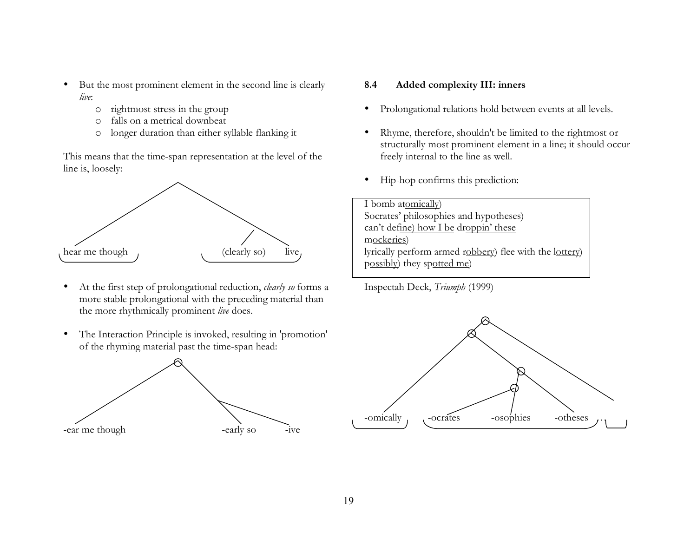- But the most prominent element in the second line is clearly *live*:
	- o rightmost stress in the group
	- o falls on a metrical downbeat
	- o longer duration than either syllable flanking it

This means that the time-span representation at the level of the line is, loosely:



- At the first step of prolongational reduction, *clearly so* forms a more stable prolongational with the preceding material than the more rhythmically prominent *live* does.
- The Interaction Principle is invoked, resulting in 'promotion' of the rhyming material past the time-span head:



#### **8.4 Added complexity III: inners**

- Prolongational relations hold between events at all levels.
- Rhyme, therefore, shouldn't be limited to the rightmost or structurally most prominent element in a line; it should occur freely internal to the line as well.
- Hip-hop confirms this prediction:

I bomb atomically) Socrates' philosophies and hypotheses) can't define) how I be droppin' these mockeries) lyrically perform armed robbery) flee with the lottery) possibly) they spotted me)

Inspectah Deck, *Triumph* (1999)

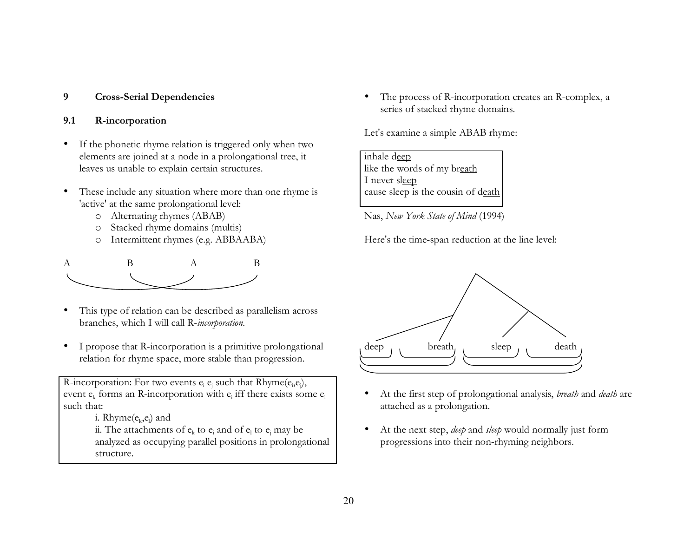# **9 Cross-Serial Dependencies**

## **9.1 R-incorporation**

- If the phonetic rhyme relation is triggered only when two elements are joined at a node in a prolongational tree, it leaves us unable to explain certain structures.
- These include any situation where more than one rhyme is 'active' at the same prolongational level:
	- o Alternating rhymes (ABAB)
	- o Stacked rhyme domains (multis)
	- o Intermittent rhymes (e.g. ABBAABA)



- This type of relation can be described as parallelism across branches, which I will call R-*incorporation*.
- I propose that R-incorporation is a primitive prolongational relation for rhyme space, more stable than progression.

R-incorporation: For two events  $e_i e_j$  such that Rhyme $(e_i,e_j)$ , event  $e_k$  forms an R-incorporation with  $e_i$  iff there exists some  $e_i$ such that:

i. Rhyme $(e_k,e_l)$  and

ii. The attachments of  $e_k$  to  $e_i$  and of  $e_l$  to  $e_i$  may be analyzed as occupying parallel positions in prolongational structure.

• The process of R-incorporation creates an R-complex, a series of stacked rhyme domains.

Let's examine a simple ABAB rhyme:

| inhale deep                        |
|------------------------------------|
| like the words of my breath        |
| I never sleep                      |
| cause sleep is the cousin of death |

Nas, *New York State of Mind* (1994)

Here's the time-span reduction at the line level:



- At the first step of prolongational analysis, *breath* and *death* are attached as a prolongation.
- At the next step, *deep* and *sleep* would normally just form progressions into their non-rhyming neighbors.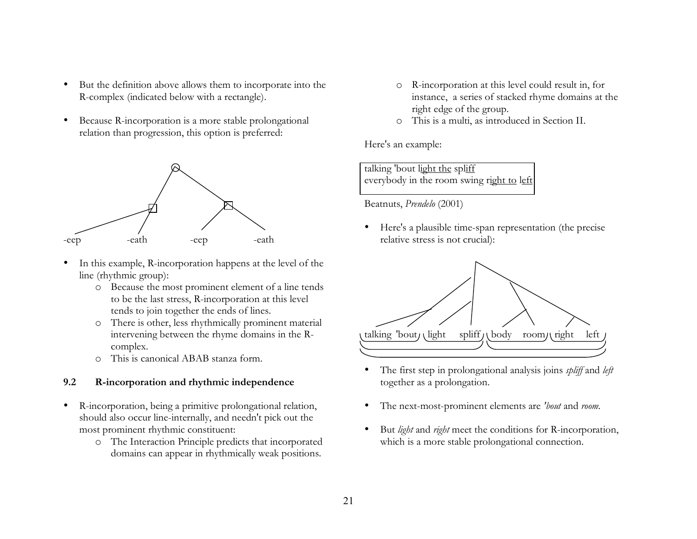- But the definition above allows them to incorporate into the R-complex (indicated below with a rectangle).
- Because R-incorporation is a more stable prolongational relation than progression, this option is preferred:



- In this example, R-incorporation happens at the level of the line (rhythmic group):
	- o Because the most prominent element of a line tends to be the last stress, R-incorporation at this level tends to join together the ends of lines.
	- o There is other, less rhythmically prominent material intervening between the rhyme domains in the Rcomplex.
	- o This is canonical ABAB stanza form.

#### **9.2 R-incorporation and rhythmic independence**

- R-incorporation, being a primitive prolongational relation, should also occur line-internally, and needn't pick out the most prominent rhythmic constituent:
	- o The Interaction Principle predicts that incorporated domains can appear in rhythmically weak positions.
- o R-incorporation at this level could result in, for instance, a series of stacked rhyme domains at the right edge of the group.
- o This is a multi, as introduced in Section II.

Here's an example:

talking 'bout light the spliff everybody in the room swing right to left

Beatnuts, *Prendelo* (2001)

• Here's a plausible time-span representation (the precise relative stress is not crucial):



- The first step in prolongational analysis joins *spliff* and *left* together as a prolongation.
- The next-most-prominent elements are *'bout* and *room*.
- But *light* and *right* meet the conditions for R-incorporation, which is a more stable prolongational connection.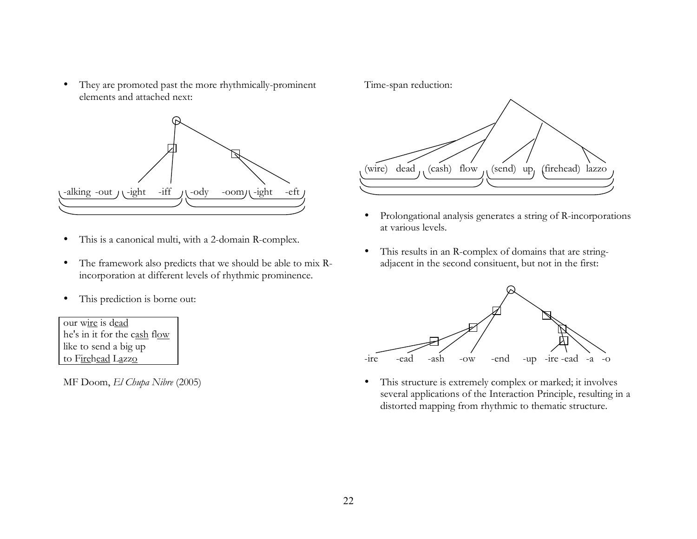• They are promoted past the more rhythmically-prominent elements and attached next:



- This is a canonical multi, with a 2-domain R-complex.
- The framework also predicts that we should be able to mix Rincorporation at different levels of rhythmic prominence.
- This prediction is borne out:

our wire is dead he's in it for the cash flow like to send a big up to Firehead Lazzo

MF Doom, *El Chupa Nibre* (2005)

Time-span reduction:



- Prolongational analysis generates a string of R-incorporations at various levels.
- This results in an R-complex of domains that are stringadjacent in the second consituent, but not in the first:



• This structure is extremely complex or marked; it involves several applications of the Interaction Principle, resulting in a distorted mapping from rhythmic to thematic structure.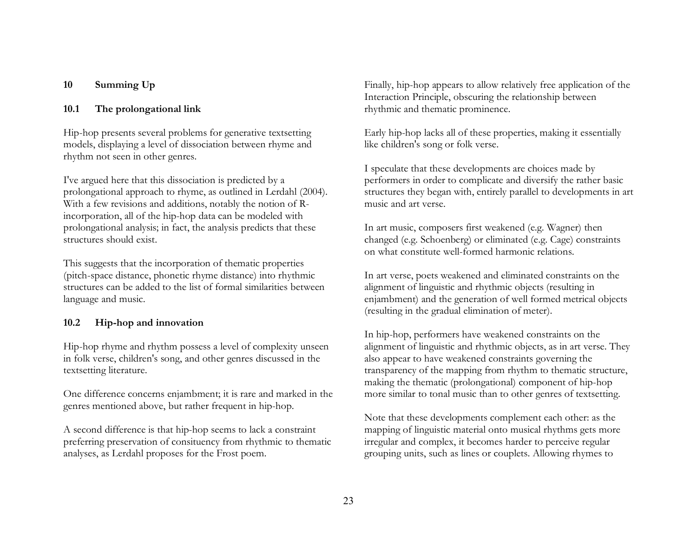## **10 Summing Up**

### **10.1 The prolongational link**

Hip-hop presents several problems for generative textsetting models, displaying a level of dissociation between rhyme and rhythm not seen in other genres.

I've argued here that this dissociation is predicted by a prolongational approach to rhyme, as outlined in Lerdahl (2004). With a few revisions and additions, notably the notion of Rincorporation, all of the hip-hop data can be modeled with prolongational analysis; in fact, the analysis predicts that these structures should exist.

This suggests that the incorporation of thematic properties (pitch-space distance, phonetic rhyme distance) into rhythmic structures can be added to the list of formal similarities between language and music.

### **10.2 Hip-hop and innovation**

Hip-hop rhyme and rhythm possess a level of complexity unseen in folk verse, children's song, and other genres discussed in the textsetting literature.

One difference concerns enjambment; it is rare and marked in the genres mentioned above, but rather frequent in hip-hop.

A second difference is that hip-hop seems to lack a constraint preferring preservation of consituency from rhythmic to thematic analyses, as Lerdahl proposes for the Frost poem.

Finally, hip-hop appears to allow relatively free application of the Interaction Principle, obscuring the relationship between rhythmic and thematic prominence.

Early hip-hop lacks all of these properties, making it essentially like children's song or folk verse.

I speculate that these developments are choices made by performers in order to complicate and diversify the rather basic structures they began with, entirely parallel to developments in art music and art verse.

In art music, composers first weakened (e.g. Wagner) then changed (e.g. Schoenberg) or eliminated (e.g. Cage) constraints on what constitute well-formed harmonic relations.

In art verse, poets weakened and eliminated constraints on the alignment of linguistic and rhythmic objects (resulting in enjambment) and the generation of well formed metrical objects (resulting in the gradual elimination of meter).

In hip-hop, performers have weakened constraints on the alignment of linguistic and rhythmic objects, as in art verse. They also appear to have weakened constraints governing the transparency of the mapping from rhythm to thematic structure, making the thematic (prolongational) component of hip-hop more similar to tonal music than to other genres of textsetting.

Note that these developments complement each other: as the mapping of linguistic material onto musical rhythms gets more irregular and complex, it becomes harder to perceive regular grouping units, such as lines or couplets. Allowing rhymes to